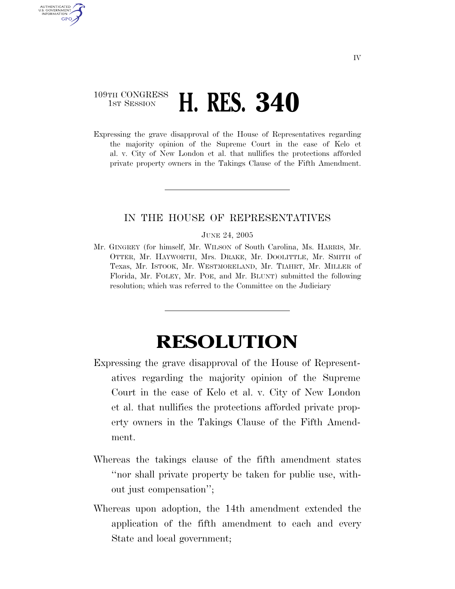## 109TH CONGRESS **1ST SESSION <b>H. RES. 340**

AUTHENTICATED U.S. GOVERNMENT GPO

> Expressing the grave disapproval of the House of Representatives regarding the majority opinion of the Supreme Court in the case of Kelo et al. v. City of New London et al. that nullifies the protections afforded private property owners in the Takings Clause of the Fifth Amendment.

## IN THE HOUSE OF REPRESENTATIVES

## JUNE 24, 2005

Mr. GINGREY (for himself, Mr. WILSON of South Carolina, Ms. HARRIS, Mr. OTTER, Mr. HAYWORTH, Mrs. DRAKE, Mr. DOOLITTLE, Mr. SMITH of Texas, Mr. ISTOOK, Mr. WESTMORELAND, Mr. TIAHRT, Mr. MILLER of Florida, Mr. FOLEY, Mr. POE, and Mr. BLUNT) submitted the following resolution; which was referred to the Committee on the Judiciary

## **RESOLUTION**

- Expressing the grave disapproval of the House of Representatives regarding the majority opinion of the Supreme Court in the case of Kelo et al. v. City of New London et al. that nullifies the protections afforded private property owners in the Takings Clause of the Fifth Amendment.
- Whereas the takings clause of the fifth amendment states ''nor shall private property be taken for public use, without just compensation'';
- Whereas upon adoption, the 14th amendment extended the application of the fifth amendment to each and every State and local government;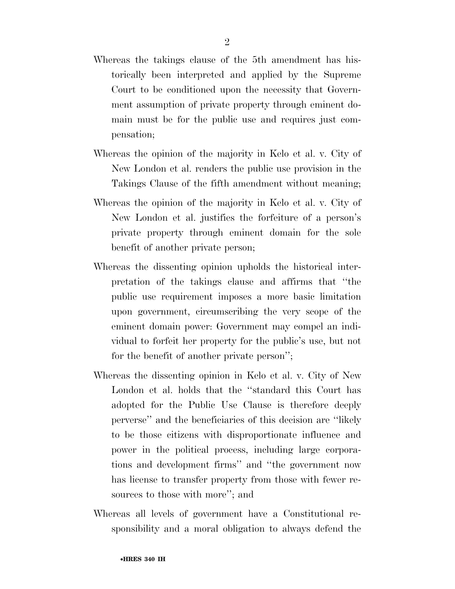- Whereas the takings clause of the 5th amendment has historically been interpreted and applied by the Supreme Court to be conditioned upon the necessity that Government assumption of private property through eminent domain must be for the public use and requires just compensation;
- Whereas the opinion of the majority in Kelo et al. v. City of New London et al. renders the public use provision in the Takings Clause of the fifth amendment without meaning;
- Whereas the opinion of the majority in Kelo et al. v. City of New London et al. justifies the forfeiture of a person's private property through eminent domain for the sole benefit of another private person;
- Whereas the dissenting opinion upholds the historical interpretation of the takings clause and affirms that ''the public use requirement imposes a more basic limitation upon government, circumscribing the very scope of the eminent domain power: Government may compel an individual to forfeit her property for the public's use, but not for the benefit of another private person'';
- Whereas the dissenting opinion in Kelo et al. v. City of New London et al. holds that the ''standard this Court has adopted for the Public Use Clause is therefore deeply perverse'' and the beneficiaries of this decision are ''likely to be those citizens with disproportionate influence and power in the political process, including large corporations and development firms'' and ''the government now has license to transfer property from those with fewer resources to those with more''; and
- Whereas all levels of government have a Constitutional responsibility and a moral obligation to always defend the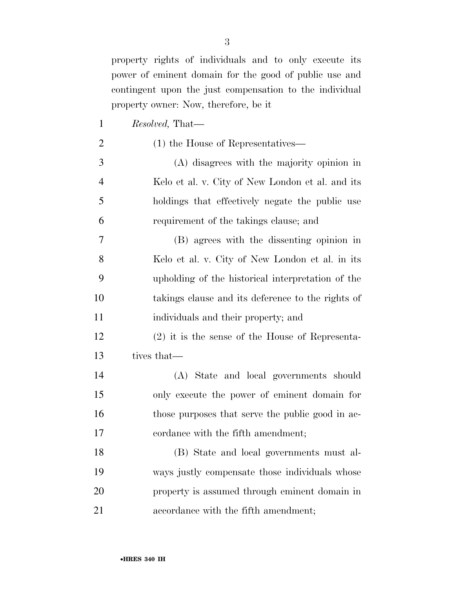property rights of individuals and to only execute its power of eminent domain for the good of public use and contingent upon the just compensation to the individual property owner: Now, therefore, be it

 *Resolved,* That— 2 (1) the House of Representatives— (A) disagrees with the majority opinion in Kelo et al. v. City of New London et al. and its holdings that effectively negate the public use requirement of the takings clause; and (B) agrees with the dissenting opinion in Kelo et al. v. City of New London et al. in its upholding of the historical interpretation of the takings clause and its deference to the rights of individuals and their property; and (2) it is the sense of the House of Representa- tives that— (A) State and local governments should only execute the power of eminent domain for 16 those purposes that serve the public good in ac-17 cordance with the fifth amendment; (B) State and local governments must al-

 ways justly compensate those individuals whose property is assumed through eminent domain in accordance with the fifth amendment;